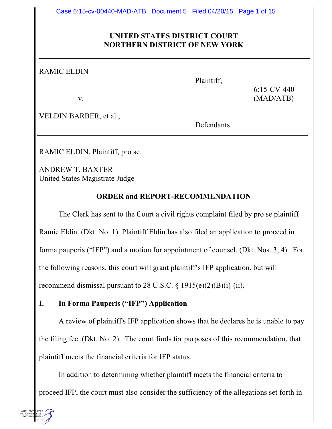#### **UNITED STATES DISTRICT COURT NORTHERN DISTRICT OF NEW YORK**

RAMIC ELDIN

Plaintiff,

6:15-CV-440 v.  $(MAD/ATB)$ 

VELDIN BARBER, et al.,

Defendants.

RAMIC ELDIN, Plaintiff, pro se

ANDREW T. BAXTER United States Magistrate Judge

### **ORDER and REPORT-RECOMMENDATION**

The Clerk has sent to the Court a civil rights complaint filed by pro se plaintiff Ramic Eldin. (Dkt. No. 1) Plaintiff Eldin has also filed an application to proceed in forma pauperis ("IFP") and a motion for appointment of counsel. (Dkt. Nos. 3, 4). For the following reasons, this court will grant plaintiff's IFP application, but will recommend dismissal pursuant to 28 U.S.C.  $\S$  1915(e)(2)(B)(i)-(ii).

### **I. In Forma Pauperis ("IFP") Application**

A review of plaintiff's IFP application shows that he declares he is unable to pay the filing fee. (Dkt. No. 2). The court finds for purposes of this recommendation, that plaintiff meets the financial criteria for IFP status.

In addition to determining whether plaintiff meets the financial criteria to proceed IFP, the court must also consider the sufficiency of the allegations set forth in

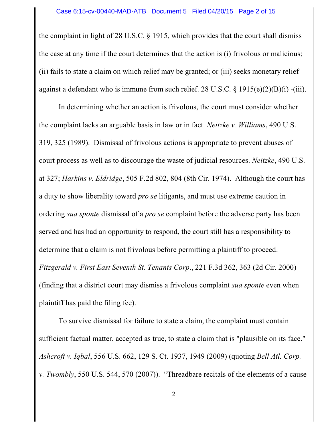the complaint in light of 28 U.S.C. § 1915, which provides that the court shall dismiss the case at any time if the court determines that the action is (i) frivolous or malicious; (ii) fails to state a claim on which relief may be granted; or (iii) seeks monetary relief against a defendant who is immune from such relief. 28 U.S.C. § 1915(e)(2)(B)(i) -(iii).

In determining whether an action is frivolous, the court must consider whether the complaint lacks an arguable basis in law or in fact. *Neitzke v. Williams*, 490 U.S. 319, 325 (1989). Dismissal of frivolous actions is appropriate to prevent abuses of court process as well as to discourage the waste of judicial resources. *Neitzke*, 490 U.S. at 327; *Harkins v. Eldridge*, 505 F.2d 802, 804 (8th Cir. 1974). Although the court has a duty to show liberality toward *pro se* litigants, and must use extreme caution in ordering *sua sponte* dismissal of a *pro se* complaint before the adverse party has been served and has had an opportunity to respond, the court still has a responsibility to determine that a claim is not frivolous before permitting a plaintiff to proceed. *Fitzgerald v. First East Seventh St. Tenants Corp*., 221 F.3d 362, 363 (2d Cir. 2000) (finding that a district court may dismiss a frivolous complaint *sua sponte* even when plaintiff has paid the filing fee).

To survive dismissal for failure to state a claim, the complaint must contain sufficient factual matter, accepted as true, to state a claim that is "plausible on its face." *Ashcroft v. Iqbal*, 556 U.S. 662, 129 S. Ct. 1937, 1949 (2009) (quoting *Bell Atl. Corp. v. Twombly*, 550 U.S. 544, 570 (2007)). "Threadbare recitals of the elements of a cause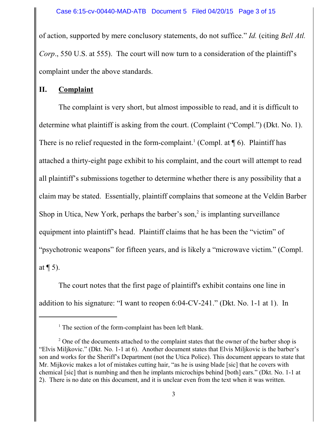of action, supported by mere conclusory statements, do not suffice." *Id.* (citing *Bell Atl. Corp.*, 550 U.S. at 555). The court will now turn to a consideration of the plaintiff's complaint under the above standards.

#### **II. Complaint**

The complaint is very short, but almost impossible to read, and it is difficult to determine what plaintiff is asking from the court. (Complaint ("Compl.") (Dkt. No. 1). There is no relief requested in the form-complaint.<sup>1</sup> (Compl. at  $\P$  6). Plaintiff has attached a thirty-eight page exhibit to his complaint, and the court will attempt to read all plaintiff's submissions together to determine whether there is any possibility that a claim may be stated. Essentially, plaintiff complains that someone at the Veldin Barber Shop in Utica, New York, perhaps the barber's son,<sup>2</sup> is implanting surveillance equipment into plaintiff's head. Plaintiff claims that he has been the "victim" of "psychotronic weapons" for fifteen years, and is likely a "microwave victim." (Compl. at  $\P$  5).

The court notes that the first page of plaintiff's exhibit contains one line in addition to his signature: "I want to reopen 6:04-CV-241." (Dkt. No. 1-1 at 1). In

<sup>&</sup>lt;sup>1</sup> The section of the form-complaint has been left blank.

 $2^2$  One of the documents attached to the complaint states that the owner of the barber shop is "Elvis Miljkovic." (Dkt. No. 1-1 at 6). Another document states that Elvis Miljkovic is the barber's son and works for the Sheriff's Department (not the Utica Police). This document appears to state that Mr. Mijkovic makes a lot of mistakes cutting hair, "as he is using blade [sic] that he covers with chemical [sic] that is numbing and then he implants microchips behind [both] ears." (Dkt. No. 1-1 at 2). There is no date on this document, and it is unclear even from the text when it was written.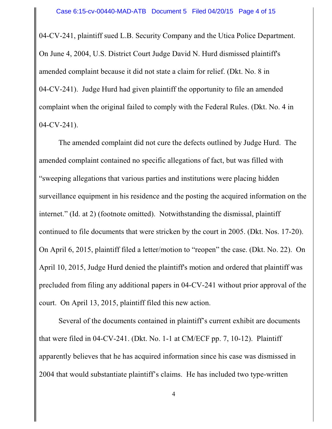04-CV-241, plaintiff sued L.B. Security Company and the Utica Police Department. On June 4, 2004, U.S. District Court Judge David N. Hurd dismissed plaintiff's amended complaint because it did not state a claim for relief. (Dkt. No. 8 in 04-CV-241). Judge Hurd had given plaintiff the opportunity to file an amended complaint when the original failed to comply with the Federal Rules. (Dkt. No. 4 in 04-CV-241).

The amended complaint did not cure the defects outlined by Judge Hurd. The amended complaint contained no specific allegations of fact, but was filled with "sweeping allegations that various parties and institutions were placing hidden surveillance equipment in his residence and the posting the acquired information on the internet." (Id. at 2) (footnote omitted). Notwithstanding the dismissal, plaintiff continued to file documents that were stricken by the court in 2005. (Dkt. Nos. 17-20). On April 6, 2015, plaintiff filed a letter/motion to "reopen" the case. (Dkt. No. 22). On April 10, 2015, Judge Hurd denied the plaintiff's motion and ordered that plaintiff was precluded from filing any additional papers in 04-CV-241 without prior approval of the court. On April 13, 2015, plaintiff filed this new action.

Several of the documents contained in plaintiff's current exhibit are documents that were filed in 04-CV-241. (Dkt. No. 1-1 at CM/ECF pp. 7, 10-12). Plaintiff apparently believes that he has acquired information since his case was dismissed in 2004 that would substantiate plaintiff's claims. He has included two type-written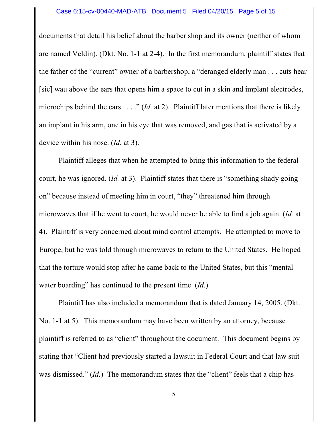#### Case 6:15-cv-00440-MAD-ATB Document 5 Filed 04/20/15 Page 5 of 15

documents that detail his belief about the barber shop and its owner (neither of whom are named Veldin). (Dkt. No. 1-1 at 2-4). In the first memorandum, plaintiff states that the father of the "current" owner of a barbershop, a "deranged elderly man . . . cuts hear [sic] wau above the ears that opens him a space to cut in a skin and implant electrodes, microchips behind the ears . . . ." (*Id.* at 2). Plaintiff later mentions that there is likely an implant in his arm, one in his eye that was removed, and gas that is activated by a device within his nose. (*Id.* at 3).

Plaintiff alleges that when he attempted to bring this information to the federal court, he was ignored. (*Id.* at 3). Plaintiff states that there is "something shady going on" because instead of meeting him in court, "they" threatened him through microwaves that if he went to court, he would never be able to find a job again. (*Id.* at 4). Plaintiff is very concerned about mind control attempts. He attempted to move to Europe, but he was told through microwaves to return to the United States. He hoped that the torture would stop after he came back to the United States, but this "mental water boarding" has continued to the present time. (*Id.*)

Plaintiff has also included a memorandum that is dated January 14, 2005. (Dkt. No. 1-1 at 5). This memorandum may have been written by an attorney, because plaintiff is referred to as "client" throughout the document. This document begins by stating that "Client had previously started a lawsuit in Federal Court and that law suit was dismissed." *(Id.)* The memorandum states that the "client" feels that a chip has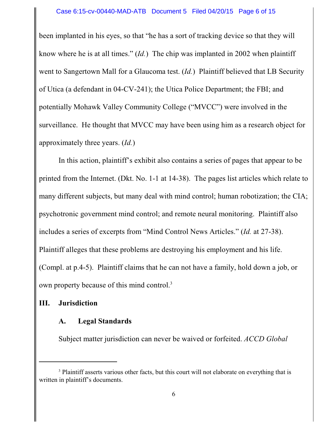been implanted in his eyes, so that "he has a sort of tracking device so that they will know where he is at all times." (*Id.*) The chip was implanted in 2002 when plaintiff went to Sangertown Mall for a Glaucoma test. (*Id.*) Plaintiff believed that LB Security of Utica (a defendant in 04-CV-241); the Utica Police Department; the FBI; and potentially Mohawk Valley Community College ("MVCC") were involved in the surveillance. He thought that MVCC may have been using him as a research object for approximately three years. (*Id.*)

In this action, plaintiff's exhibit also contains a series of pages that appear to be printed from the Internet. (Dkt. No. 1-1 at 14-38). The pages list articles which relate to many different subjects, but many deal with mind control; human robotization; the CIA; psychotronic government mind control; and remote neural monitoring. Plaintiff also includes a series of excerpts from "Mind Control News Articles." (*Id.* at 27-38). Plaintiff alleges that these problems are destroying his employment and his life. (Compl. at p.4-5). Plaintiff claims that he can not have a family, hold down a job, or own property because of this mind control.<sup>3</sup>

### **III. Jurisdiction**

#### **A. Legal Standards**

Subject matter jurisdiction can never be waived or forfeited. *ACCD Global*

<sup>&</sup>lt;sup>3</sup> Plaintiff asserts various other facts, but this court will not elaborate on everything that is written in plaintiff's documents.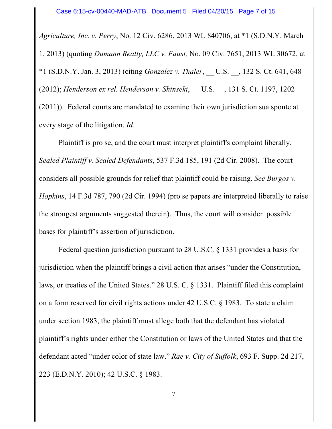*Agriculture, Inc. v. Perry*, No. 12 Civ. 6286, 2013 WL 840706, at \*1 (S.D.N.Y. March 1, 2013) (quoting *Dumann Realty, LLC v. Faust,* No. 09 Civ. 7651, 2013 WL 30672, at \*1 (S.D.N.Y. Jan. 3, 2013) (citing *Gonzalez v. Thaler*, \_\_ U.S. \_\_, 132 S. Ct. 641, 648 (2012); *Henderson ex rel. Henderson v. Shinseki*, \_\_ U.S. \_\_, 131 S. Ct. 1197, 1202 (2011)). Federal courts are mandated to examine their own jurisdiction sua sponte at every stage of the litigation. *Id.*

Plaintiff is pro se, and the court must interpret plaintiff's complaint liberally. *Sealed Plaintiff v. Sealed Defendants*, 537 F.3d 185, 191 (2d Cir. 2008). The court considers all possible grounds for relief that plaintiff could be raising. *See Burgos v. Hopkins*, 14 F.3d 787, 790 (2d Cir. 1994) (pro se papers are interpreted liberally to raise the strongest arguments suggested therein). Thus, the court will consider possible bases for plaintiff's assertion of jurisdiction.

Federal question jurisdiction pursuant to 28 U.S.C. § 1331 provides a basis for jurisdiction when the plaintiff brings a civil action that arises "under the Constitution, laws, or treaties of the United States." 28 U.S. C. § 1331. Plaintiff filed this complaint on a form reserved for civil rights actions under 42 U.S.C. § 1983. To state a claim under section 1983, the plaintiff must allege both that the defendant has violated plaintiff's rights under either the Constitution or laws of the United States and that the defendant acted "under color of state law." *Rae v. City of Suffolk*, 693 F. Supp. 2d 217, 223 (E.D.N.Y. 2010); 42 U.S.C. § 1983.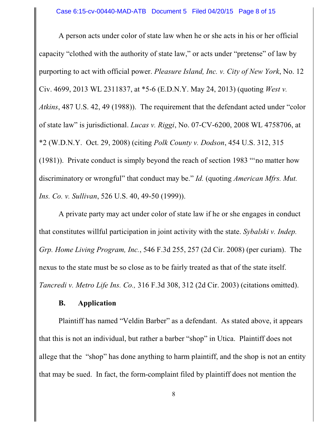A person acts under color of state law when he or she acts in his or her official capacity "clothed with the authority of state law," or acts under "pretense" of law by purporting to act with official power. *Pleasure Island, Inc. v. City of New York*, No. 12 Civ. 4699, 2013 WL 2311837, at \*5-6 (E.D.N.Y. May 24, 2013) (quoting *West v. Atkins*, 487 U.S. 42, 49 (1988)). The requirement that the defendant acted under "color of state law" is jurisdictional. *Lucas v. Riggi*, No. 07-CV-6200, 2008 WL 4758706, at \*2 (W.D.N.Y. Oct. 29, 2008) (citing *Polk County v. Dodson*, 454 U.S. 312, 315 (1981)). Private conduct is simply beyond the reach of section 1983 "'no matter how discriminatory or wrongful" that conduct may be." *Id.* (quoting *American Mfrs. Mut. Ins. Co. v. Sullivan*, 526 U.S. 40, 49-50 (1999)).

A private party may act under color of state law if he or she engages in conduct that constitutes willful participation in joint activity with the state. *Sybalski v. Indep. Grp. Home Living Program, Inc.*, 546 F.3d 255, 257 (2d Cir. 2008) (per curiam). The nexus to the state must be so close as to be fairly treated as that of the state itself. *Tancredi v. Metro Life Ins. Co.,* 316 F.3d 308, 312 (2d Cir. 2003) (citations omitted).

### **B. Application**

Plaintiff has named "Veldin Barber" as a defendant. As stated above, it appears that this is not an individual, but rather a barber "shop" in Utica. Plaintiff does not allege that the "shop" has done anything to harm plaintiff, and the shop is not an entity that may be sued. In fact, the form-complaint filed by plaintiff does not mention the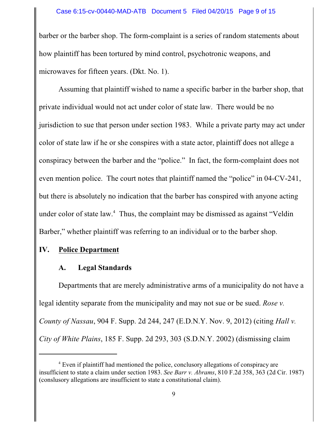#### Case 6:15-cv-00440-MAD-ATB Document 5 Filed 04/20/15 Page 9 of 15

barber or the barber shop. The form-complaint is a series of random statements about how plaintiff has been tortured by mind control, psychotronic weapons, and microwaves for fifteen years. (Dkt. No. 1).

Assuming that plaintiff wished to name a specific barber in the barber shop, that private individual would not act under color of state law. There would be no jurisdiction to sue that person under section 1983. While a private party may act under color of state law if he or she conspires with a state actor, plaintiff does not allege a conspiracy between the barber and the "police." In fact, the form-complaint does not even mention police. The court notes that plaintiff named the "police" in 04-CV-241, but there is absolutely no indication that the barber has conspired with anyone acting under color of state law.<sup>4</sup> Thus, the complaint may be dismissed as against "Veldin Barber," whether plaintiff was referring to an individual or to the barber shop.

#### **IV. Police Department**

#### **A. Legal Standards**

Departments that are merely administrative arms of a municipality do not have a legal identity separate from the municipality and may not sue or be sued. *Rose v. County of Nassau*, 904 F. Supp. 2d 244, 247 (E.D.N.Y. Nov. 9, 2012) (citing *Hall v. City of White Plains*, 185 F. Supp. 2d 293, 303 (S.D.N.Y. 2002) (dismissing claim

<sup>&</sup>lt;sup>4</sup> Even if plaintiff had mentioned the police, conclusory allegations of conspiracy are insufficient to state a claim under section 1983. *See Barr v. Abrams*, 810 F.2d 358, 363 (2d Cir. 1987) (conslusory allegations are insufficient to state a constitutional claim).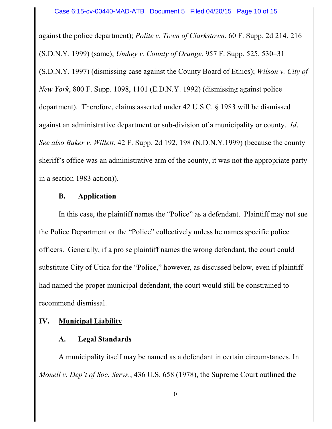against the police department); *Polite v. Town of Clarkstown*, 60 F. Supp. 2d 214, 216 (S.D.N.Y. 1999) (same); *Umhey v. County of Orange*, 957 F. Supp. 525, 530–31 (S.D.N.Y. 1997) (dismissing case against the County Board of Ethics); *Wilson v. City of New York*, 800 F. Supp. 1098, 1101 (E.D.N.Y. 1992) (dismissing against police department). Therefore, claims asserted under 42 U.S.C. § 1983 will be dismissed against an administrative department or sub-division of a municipality or county. *Id*. *See also Baker v. Willett*, 42 F. Supp. 2d 192, 198 (N.D.N.Y.1999) (because the county sheriff's office was an administrative arm of the county, it was not the appropriate party in a section 1983 action)).

### **B. Application**

In this case, the plaintiff names the "Police" as a defendant. Plaintiff may not sue the Police Department or the "Police" collectively unless he names specific police officers. Generally, if a pro se plaintiff names the wrong defendant, the court could substitute City of Utica for the "Police," however, as discussed below, even if plaintiff had named the proper municipal defendant, the court would still be constrained to recommend dismissal.

### **IV. Municipal Liability**

### **A. Legal Standards**

A municipality itself may be named as a defendant in certain circumstances. In *Monell v. Dep't of Soc. Servs.*, 436 U.S. 658 (1978), the Supreme Court outlined the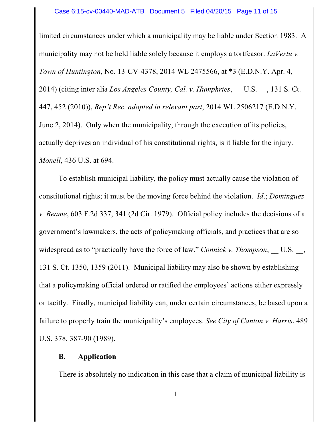limited circumstances under which a municipality may be liable under Section 1983. A municipality may not be held liable solely because it employs a tortfeasor. *LaVertu v. Town of Huntington*, No. 13-CV-4378, 2014 WL 2475566, at \*3 (E.D.N.Y. Apr. 4, 2014) (citing inter alia *Los Angeles County, Cal. v. Humphries*, \_\_ U.S. \_\_, 131 S. Ct. 447, 452 (2010)), *Rep't Rec. adopted in relevant part*, 2014 WL 2506217 (E.D.N.Y. June 2, 2014). Only when the municipality, through the execution of its policies, actually deprives an individual of his constitutional rights, is it liable for the injury. *Monell*, 436 U.S. at 694.

To establish municipal liability, the policy must actually cause the violation of constitutional rights; it must be the moving force behind the violation. *Id*.; *Dominguez v. Beame*, 603 F.2d 337, 341 (2d Cir. 1979). Official policy includes the decisions of a government's lawmakers, the acts of policymaking officials, and practices that are so widespread as to "practically have the force of law." *Connick v. Thompson*, U.S., 131 S. Ct. 1350, 1359 (2011). Municipal liability may also be shown by establishing that a policymaking official ordered or ratified the employees' actions either expressly or tacitly. Finally, municipal liability can, under certain circumstances, be based upon a failure to properly train the municipality's employees. *See City of Canton v. Harris*, 489 U.S. 378, 387-90 (1989).

### **B. Application**

There is absolutely no indication in this case that a claim of municipal liability is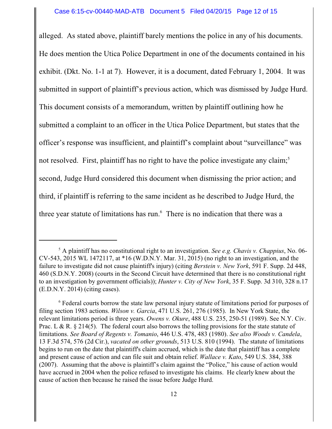alleged. As stated above, plaintiff barely mentions the police in any of his documents. He does mention the Utica Police Department in one of the documents contained in his exhibit. (Dkt. No. 1-1 at 7). However, it is a document, dated February 1, 2004. It was submitted in support of plaintiff's previous action, which was dismissed by Judge Hurd. This document consists of a memorandum, written by plaintiff outlining how he submitted a complaint to an officer in the Utica Police Department, but states that the officer's response was insufficient, and plaintiff's complaint about "surveillance" was not resolved. First, plaintiff has no right to have the police investigate any claim;<sup>5</sup> second, Judge Hurd considered this document when dismissing the prior action; and third, if plaintiff is referring to the same incident as he described to Judge Hurd, the three year statute of limitations has run. 6 There is no indication that there was a

<sup>5</sup> A plaintiff has no constitutional right to an investigation. *See e.g. Chavis v. Chappius*, No. 06-  $CV-543$ , 2015 WL 1472117, at  $*16$  (W.D.N.Y. Mar. 31, 2015) (no right to an investigation, and the failure to investigate did not cause plaintiff's injury) (citing *Berstein v. New York*, 591 F. Supp. 2d 448, 460 (S.D.N.Y. 2008) (courts in the Second Circuit have determined that there is no constitutional right to an investigation by government officials)); *Hunter v. City of New York*, 35 F. Supp. 3d 310, 328 n.17 (E.D.N.Y. 2014) (citing cases).

<sup>&</sup>lt;sup>6</sup> Federal courts borrow the state law personal injury statute of limitations period for purposes of filing section 1983 actions. *Wilson v. Garcia*, 471 U.S. 261, 276 (1985). In New York State, the relevant limitations period is three years. *Owens v. Okure*, 488 U.S. 235, 250-51 (1989). See N.Y. Civ. Prac. L & R. § 214(5). The federal court also borrows the tolling provisions for the state statute of limitations. *See Board of Regents v. Tomanio*, 446 U.S. 478, 483 (1980). *See also Woods v. Candela*, 13 F.3d 574, 576 (2d Cir.), *vacated on other grounds*, 513 U.S. 810 (1994). The statute of limitations begins to run on the date that plaintiff's claim accrued, which is the date that plaintiff has a complete and present cause of action and can file suit and obtain relief. *Wallace v. Kato*, 549 U.S. 384, 388 (2007). Assuming that the above is plaintiff's claim against the "Police," his cause of action would have accrued in 2004 when the police refused to investigate his claims. He clearly knew about the cause of action then because he raised the issue before Judge Hurd.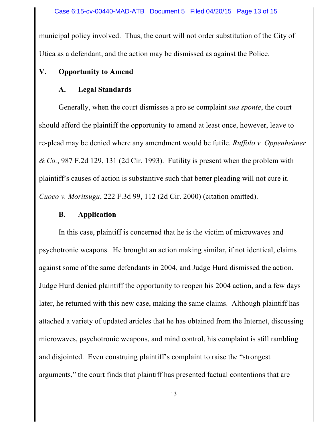municipal policy involved. Thus, the court will not order substitution of the City of Utica as a defendant, and the action may be dismissed as against the Police.

## **V. Opportunity to Amend**

## **A. Legal Standards**

Generally, when the court dismisses a pro se complaint *sua sponte*, the court should afford the plaintiff the opportunity to amend at least once, however, leave to re-plead may be denied where any amendment would be futile. *Ruffolo v. Oppenheimer & Co.*, 987 F.2d 129, 131 (2d Cir. 1993). Futility is present when the problem with plaintiff's causes of action is substantive such that better pleading will not cure it. *Cuoco v. Moritsugu*, 222 F.3d 99, 112 (2d Cir. 2000) (citation omitted).

## **B. Application**

In this case, plaintiff is concerned that he is the victim of microwaves and psychotronic weapons. He brought an action making similar, if not identical, claims against some of the same defendants in 2004, and Judge Hurd dismissed the action. Judge Hurd denied plaintiff the opportunity to reopen his 2004 action, and a few days later, he returned with this new case, making the same claims. Although plaintiff has attached a variety of updated articles that he has obtained from the Internet, discussing microwaves, psychotronic weapons, and mind control, his complaint is still rambling and disjointed. Even construing plaintiff's complaint to raise the "strongest arguments," the court finds that plaintiff has presented factual contentions that are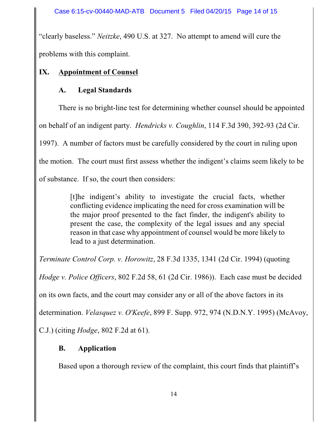"clearly baseless." *Neitzke*, 490 U.S. at 327. No attempt to amend will cure the problems with this complaint.

## **IX. Appointment of Counsel**

# **A. Legal Standards**

There is no bright-line test for determining whether counsel should be appointed

on behalf of an indigent party. *Hendricks v. Coughlin*, 114 F.3d 390, 392-93 (2d Cir.

1997). A number of factors must be carefully considered by the court in ruling upon

the motion. The court must first assess whether the indigent's claims seem likely to be

of substance. If so, the court then considers:

[t]he indigent's ability to investigate the crucial facts, whether conflicting evidence implicating the need for cross examination will be the major proof presented to the fact finder, the indigent's ability to present the case, the complexity of the legal issues and any special reason in that case why appointment of counsel would be more likely to lead to a just determination.

*Terminate Control Corp. v. Horowitz*, 28 F.3d 1335, 1341 (2d Cir. 1994) (quoting

*Hodge v. Police Officers*, 802 F.2d 58, 61 (2d Cir. 1986)). Each case must be decided

on its own facts, and the court may consider any or all of the above factors in its

determination. *Velasquez v. O'Keefe*, 899 F. Supp. 972, 974 (N.D.N.Y. 1995) (McAvoy,

C.J.) (citing *Hodge*, 802 F.2d at 61).

# **B. Application**

Based upon a thorough review of the complaint, this court finds that plaintiff's